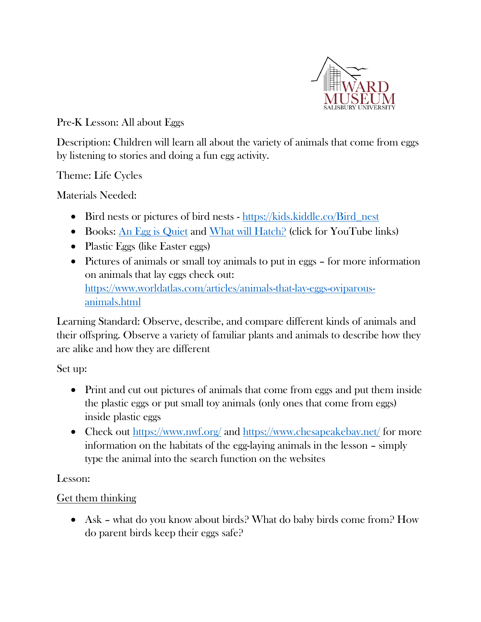

Pre-K Lesson: All about Eggs

Description: Children will learn all about the variety of animals that come from eggs by listening to stories and doing a fun egg activity.

Theme: Life Cycles

Materials Needed:

- Bird nests or pictures of bird nests [https://kids.kiddle.co/Bird\\_nest](https://kids.kiddle.co/Bird_nest)
- Books: [An Egg is Quiet](https://www.youtube.com/watch?v=IfhlU6f46rI) and [What will Hatch?](https://www.youtube.com/watch?v=p-WYG3dGRSk) (click for YouTube links)
- Plastic Eggs (like Easter eggs)
- Pictures of animals or small toy animals to put in eggs for more information on animals that lay eggs check out: [https://www.worldatlas.com/articles/animals-that-lay-eggs-oviparous](https://www.worldatlas.com/articles/animals-that-lay-eggs-oviparous-animals.html)[animals.html](https://www.worldatlas.com/articles/animals-that-lay-eggs-oviparous-animals.html)

Learning Standard: Observe, describe, and compare different kinds of animals and their offspring. Observe a variety of familiar plants and animals to describe how they are alike and how they are different

Set up:

- Print and cut out pictures of animals that come from eggs and put them inside the plastic eggs or put small toy animals (only ones that come from eggs) inside plastic eggs
- Check out<https://www.nwf.org/> and<https://www.chesapeakebay.net/> for more information on the habitats of the egg-laying animals in the lesson – simply type the animal into the search function on the websites

#### Lesson:

# Get them thinking

• Ask – what do you know about birds? What do baby birds come from? How do parent birds keep their eggs safe?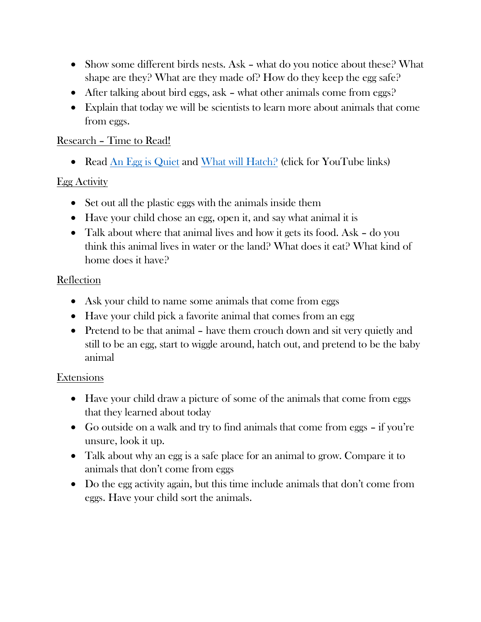- Show some different birds nests. Ask what do you notice about these? What shape are they? What are they made of? How do they keep the egg safe?
- After talking about bird eggs, ask what other animals come from eggs?
- Explain that today we will be scientists to learn more about animals that come from eggs.

## Research – Time to Read!

• Read [An Egg is Quiet](https://www.youtube.com/watch?v=IfhlU6f46rI) and [What will Hatch?](https://www.youtube.com/watch?v=p-WYG3dGRSk) (click for YouTube links)

### Egg Activity

- Set out all the plastic eggs with the animals inside them
- Have your child chose an egg, open it, and say what animal it is
- Talk about where that animal lives and how it gets its food. Ask do you think this animal lives in water or the land? What does it eat? What kind of home does it have?

### Reflection

- Ask your child to name some animals that come from eggs
- Have your child pick a favorite animal that comes from an egg
- Pretend to be that animal have them crouch down and sit very quietly and still to be an egg, start to wiggle around, hatch out, and pretend to be the baby animal

#### Extensions

- Have your child draw a picture of some of the animals that come from eggs that they learned about today
- Go outside on a walk and try to find animals that come from eggs if you're unsure, look it up.
- Talk about why an egg is a safe place for an animal to grow. Compare it to animals that don't come from eggs
- Do the egg activity again, but this time include animals that don't come from eggs. Have your child sort the animals.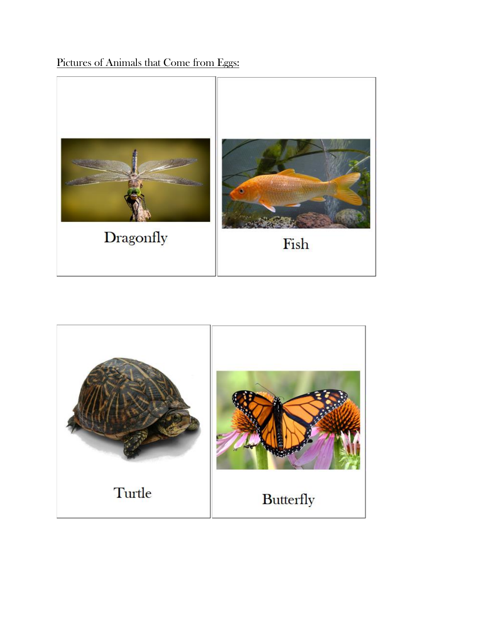# Pictures of Animals that Come from Eggs:



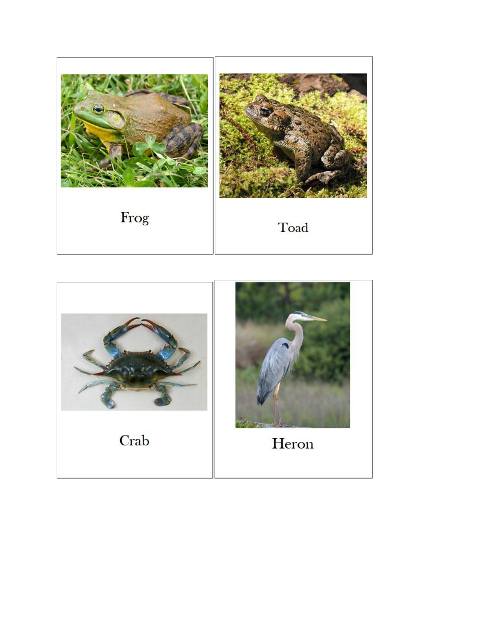